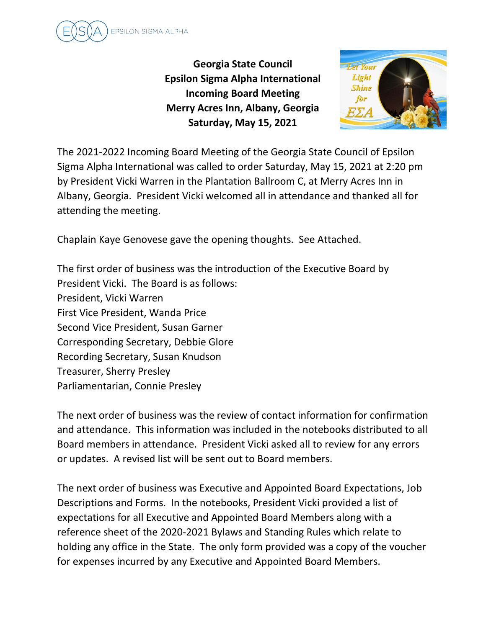

**Georgia State Council Epsilon Sigma Alpha International Incoming Board Meeting Merry Acres Inn, Albany, Georgia Saturday, May 15, 2021**



The 2021-2022 Incoming Board Meeting of the Georgia State Council of Epsilon Sigma Alpha International was called to order Saturday, May 15, 2021 at 2:20 pm by President Vicki Warren in the Plantation Ballroom C, at Merry Acres Inn in Albany, Georgia. President Vicki welcomed all in attendance and thanked all for attending the meeting.

Chaplain Kaye Genovese gave the opening thoughts. See Attached.

The first order of business was the introduction of the Executive Board by President Vicki. The Board is as follows: President, Vicki Warren First Vice President, Wanda Price Second Vice President, Susan Garner Corresponding Secretary, Debbie Glore Recording Secretary, Susan Knudson Treasurer, Sherry Presley Parliamentarian, Connie Presley

The next order of business was the review of contact information for confirmation and attendance. This information was included in the notebooks distributed to all Board members in attendance. President Vicki asked all to review for any errors or updates. A revised list will be sent out to Board members.

The next order of business was Executive and Appointed Board Expectations, Job Descriptions and Forms. In the notebooks, President Vicki provided a list of expectations for all Executive and Appointed Board Members along with a reference sheet of the 2020-2021 Bylaws and Standing Rules which relate to holding any office in the State. The only form provided was a copy of the voucher for expenses incurred by any Executive and Appointed Board Members.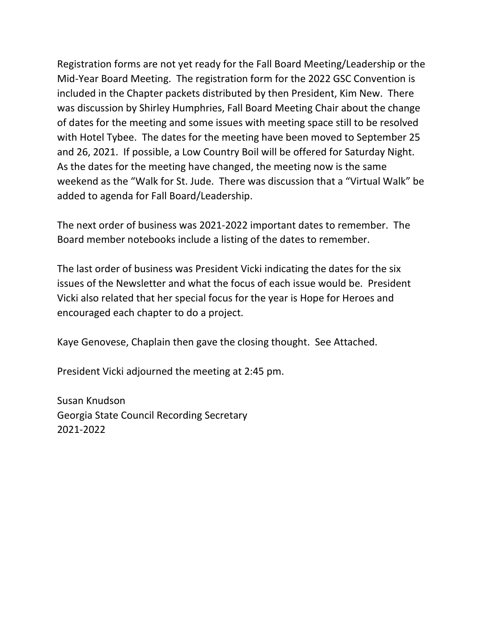Registration forms are not yet ready for the Fall Board Meeting/Leadership or the Mid-Year Board Meeting. The registration form for the 2022 GSC Convention is included in the Chapter packets distributed by then President, Kim New. There was discussion by Shirley Humphries, Fall Board Meeting Chair about the change of dates for the meeting and some issues with meeting space still to be resolved with Hotel Tybee. The dates for the meeting have been moved to September 25 and 26, 2021. If possible, a Low Country Boil will be offered for Saturday Night. As the dates for the meeting have changed, the meeting now is the same weekend as the "Walk for St. Jude. There was discussion that a "Virtual Walk" be added to agenda for Fall Board/Leadership.

The next order of business was 2021-2022 important dates to remember. The Board member notebooks include a listing of the dates to remember.

The last order of business was President Vicki indicating the dates for the six issues of the Newsletter and what the focus of each issue would be. President Vicki also related that her special focus for the year is Hope for Heroes and encouraged each chapter to do a project.

Kaye Genovese, Chaplain then gave the closing thought. See Attached.

President Vicki adjourned the meeting at 2:45 pm.

Susan Knudson Georgia State Council Recording Secretary 2021-2022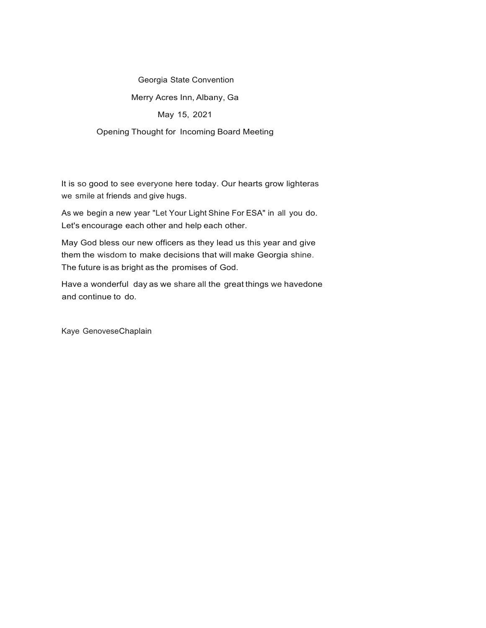## Georgia State Convention Merry Acres Inn, Albany, Ga May 15, 2021 Opening Thought for Incoming Board Meeting

It is so good to see everyone here today. Our hearts grow lighteras we smile at friends and give hugs.

As we begin a new year "Let Your Light Shine For ESA" in all you do. Let's encourage each other and help each other.

May God bless our new officers as they lead us this year and give them the wisdom to make decisions that will make Georgia shine. The future is as bright as the promises of God.

Have a wonderful day as we share all the great things we havedone and continue to do.

Kaye GenoveseChaplain